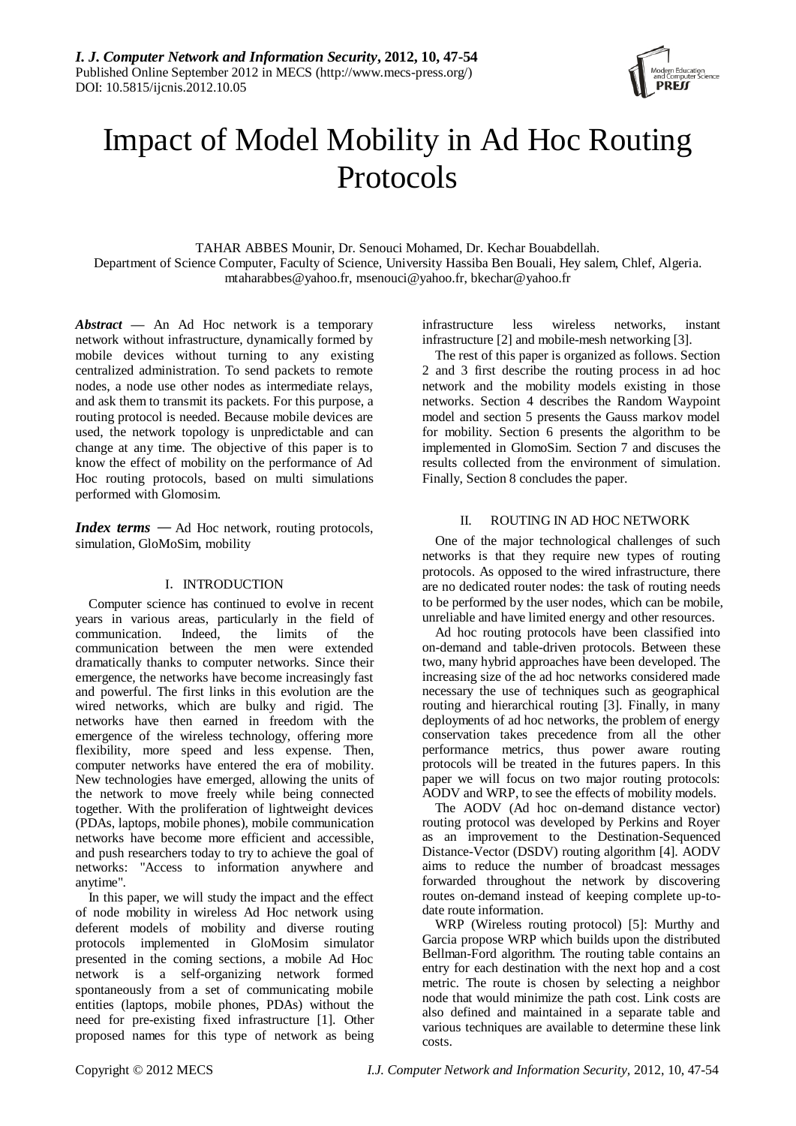

# Impact of Model Mobility in Ad Hoc Routing Protocols

TAHAR ABBES Mounir, Dr. Senouci Mohamed, Dr. Kechar Bouabdellah. Department of Science Computer, Faculty of Science, University Hassiba Ben Bouali, Hey salem, Chlef, Algeria. [mtaharabbes@yahoo.fr,](mailto:mtaharabbes@yahoo.fr) [msenouci@yahoo.fr,](mailto:msenouci@yahoo.fr) bkechar@yahoo.fr

*Abstract* **—** An Ad Hoc network is a temporary network without infrastructure, dynamically formed by mobile devices without turning to any existing centralized administration. To send packets to remote nodes, a node use other nodes as intermediate relays, and ask them to transmit its packets. For this purpose, a routing protocol is needed. Because mobile devices are used, the network topology is unpredictable and can change at any time. The objective of this paper is to know the effect of mobility on the performance of Ad Hoc routing protocols, based on multi simulations performed with Glomosim.

*Index terms* — Ad Hoc network, routing protocols, simulation, GloMoSim, mobility

## I. INTRODUCTION

Computer science has continued to evolve in recent years in various areas, particularly in the field of communication. Indeed, the limits of the communication between the men were extended dramatically thanks to computer networks. Since their emergence, the networks have become increasingly fast and powerful. The first links in this evolution are the wired networks, which are bulky and rigid. The networks have then earned in freedom with the emergence of the wireless technology, offering more flexibility, more speed and less expense. Then, computer networks have entered the era of mobility. New technologies have emerged, allowing the units of the network to move freely while being connected together. With the proliferation of lightweight devices (PDAs, laptops, mobile phones), mobile communication networks have become more efficient and accessible, and push researchers today to try to achieve the goal of networks: "Access to information anywhere and anytime".

In this paper, we will study the impact and the effect of node mobility in wireless Ad Hoc network using deferent models of mobility and diverse routing protocols implemented in GloMosim simulator presented in the coming sections, a mobile Ad Hoc network is a self-organizing network formed spontaneously from a set of communicating mobile entities (laptops, mobile phones, PDAs) without the need for pre-existing fixed infrastructure [1]. Other proposed names for this type of network as being

infrastructure less wireless networks, instant infrastructure [2] and mobile-mesh networking [3].

The rest of this paper is organized as follows. Section 2 and 3 first describe the routing process in ad hoc network and the mobility models existing in those networks. Section 4 describes the Random Waypoint model and section 5 presents the Gauss markov model for mobility. Section 6 presents the algorithm to be implemented in GlomoSim. Section 7 and discuses the results collected from the environment of simulation. Finally, Section 8 concludes the paper.

## II. ROUTING IN AD HOC NETWORK

One of the major technological challenges of such networks is that they require new types of routing protocols. As opposed to the wired infrastructure, there are no dedicated router nodes: the task of routing needs to be performed by the user nodes, which can be mobile, unreliable and have limited energy and other resources.

Ad hoc routing protocols have been classified into on-demand and table-driven protocols. Between these two, many hybrid approaches have been developed. The increasing size of the ad hoc networks considered made necessary the use of techniques such as geographical routing and hierarchical routing [3]. Finally, in many deployments of ad hoc networks, the problem of energy conservation takes precedence from all the other performance metrics, thus power aware routing protocols will be treated in the futures papers. In this paper we will focus on two major routing protocols: AODV and WRP, to see the effects of mobility models.

The AODV (Ad hoc on-demand distance vector) routing protocol was developed by Perkins and Royer as an improvement to the Destination-Sequenced Distance-Vector (DSDV) routing algorithm [4]. AODV aims to reduce the number of broadcast messages forwarded throughout the network by discovering routes on-demand instead of keeping complete up-todate route information.

WRP (Wireless routing protocol) [5]: Murthy and Garcia propose WRP which builds upon the distributed Bellman-Ford algorithm. The routing table contains an entry for each destination with the next hop and a cost metric. The route is chosen by selecting a neighbor node that would minimize the path cost. Link costs are also defined and maintained in a separate table and various techniques are available to determine these link costs.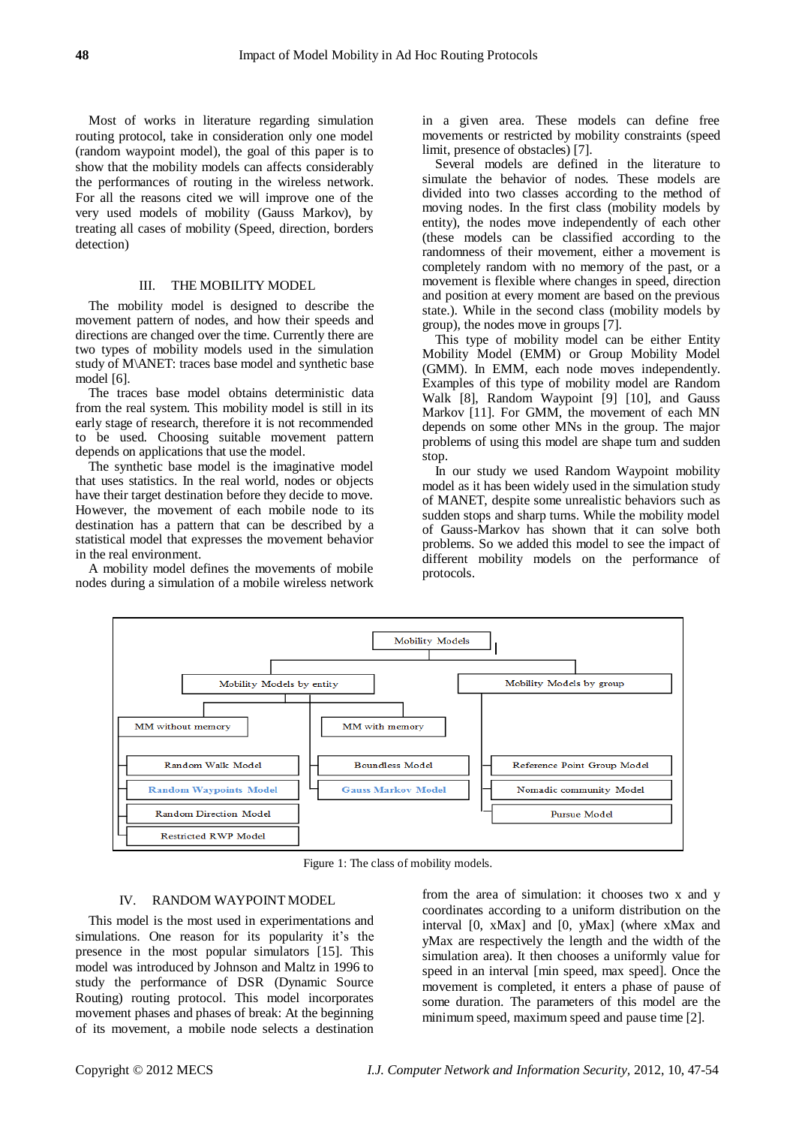Most of works in literature regarding simulation routing protocol, take in consideration only one model (random waypoint model), the goal of this paper is to show that the mobility models can affects considerably the performances of routing in the wireless network. For all the reasons cited we will improve one of the very used models of mobility (Gauss Markov), by treating all cases of mobility (Speed, direction, borders detection)

## III. THE MOBILITY MODEL

The mobility model is designed to describe the movement pattern of nodes, and how their speeds and directions are changed over the time. Currently there are two types of mobility models used in the simulation study of M\ANET: traces base model and synthetic base model [6].

The traces base model obtains deterministic data from the real system. This mobility model is still in its early stage of research, therefore it is not recommended to be used. Choosing suitable movement pattern depends on applications that use the model.

The synthetic base model is the imaginative model that uses statistics. In the real world, nodes or objects have their target destination before they decide to move. However, the movement of each mobile node to its destination has a pattern that can be described by a statistical model that expresses the movement behavior in the real environment.

A mobility model defines the movements of mobile nodes during a simulation of a mobile wireless network in a given area. These models can define free movements or restricted by mobility constraints (speed limit, presence of obstacles) [7].

Several models are defined in the literature to simulate the behavior of nodes. These models are divided into two classes according to the method of moving nodes. In the first class (mobility models by entity), the nodes move independently of each other (these models can be classified according to the randomness of their movement, either a movement is completely random with no memory of the past, or a movement is flexible where changes in speed, direction and position at every moment are based on the previous state.). While in the second class (mobility models by group), the nodes move in groups [7].

This type of mobility model can be either Entity Mobility Model (EMM) or Group Mobility Model (GMM). In EMM, each node moves independently. Examples of this type of mobility model are Random Walk [8], Random Waypoint [9] [10], and Gauss Markov [11]. For GMM, the movement of each MN depends on some other MNs in the group. The major problems of using this model are shape turn and sudden stop.

In our study we used Random Waypoint mobility model as it has been widely used in the simulation study of MANET, despite some unrealistic behaviors such as sudden stops and sharp turns. While the mobility model of Gauss-Markov has shown that it can solve both problems. So we added this model to see the impact of different mobility models on the performance of protocols.



Figure 1: The class of mobility models.

## IV. RANDOM WAYPOINT MODEL

This model is the most used in experimentations and simulations. One reason for its popularity it's the presence in the most popular simulators [15]. This model was introduced by Johnson and Maltz in 1996 to study the performance of DSR (Dynamic Source Routing) routing protocol. This model incorporates movement phases and phases of break: At the beginning of its movement, a mobile node selects a destination

from the area of simulation: it chooses two x and y coordinates according to a uniform distribution on the interval [0, xMax] and [0, yMax] (where xMax and yMax are respectively the length and the width of the simulation area). It then chooses a uniformly value for speed in an interval [min speed, max speed]. Once the movement is completed, it enters a phase of pause of some duration. The parameters of this model are the minimum speed, maximum speed and pause time [2].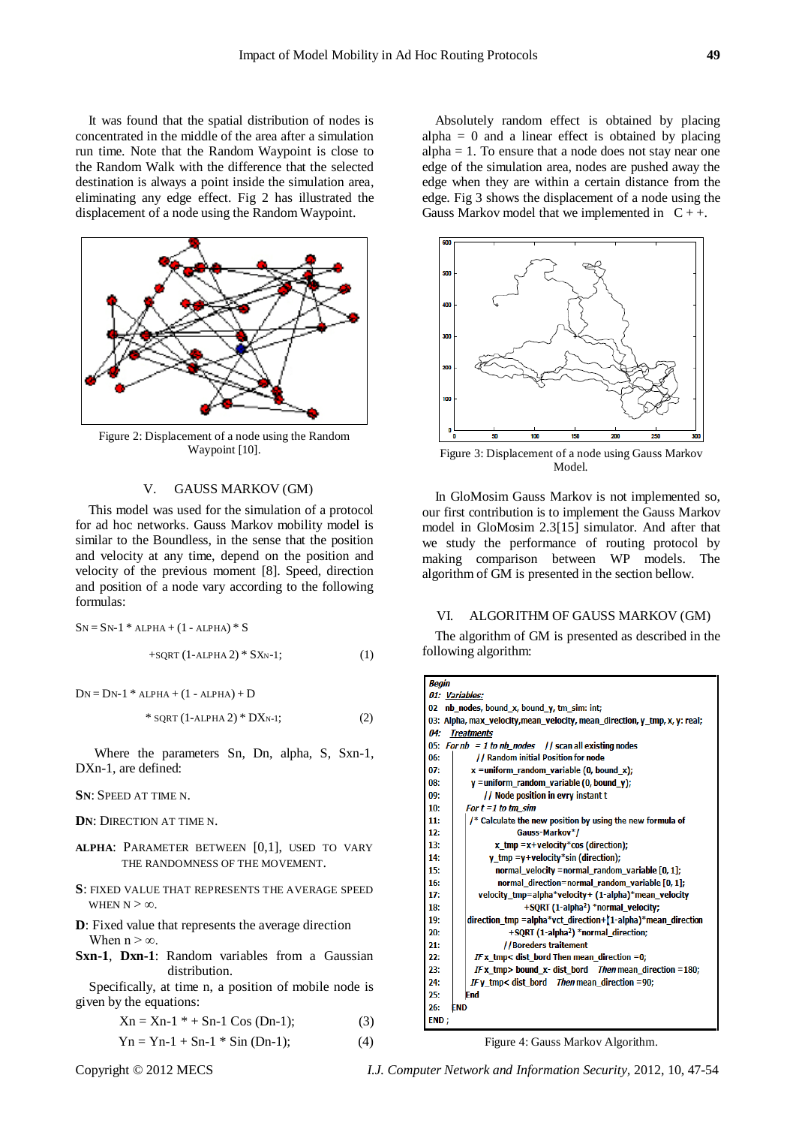It was found that the spatial distribution of nodes is concentrated in the middle of the area after a simulation run time. Note that the Random Waypoint is close to the Random Walk with the difference that the selected destination is always a point inside the simulation area, eliminating any edge effect. Fig 2 has illustrated the displacement of a node using the Random Waypoint.



Figure 2: Displacement of a node using the Random Waypoint [10].

## V. GAUSS MARKOV (GM)

This model was used for the simulation of a protocol for ad hoc networks. Gauss Markov mobility model is similar to the Boundless, in the sense that the position and velocity at any time, depend on the position and velocity of the previous moment [8]. Speed, direction and position of a node vary according to the following formulas:

$$
SN = SN-1 * ALPHA + (1 - ALPHA) * S
$$

$$
+SQRT (1-ALPHA 2) * SXN-1;
$$
 (1)

 $DN = DN-1$  \* ALPHA +  $(1 - ALPHA) + D$ 

\* 
$$
SQRT
$$
 (1-ALPHA 2) \*  $DX_{N-1}$ ; (2)

Where the parameters Sn, Dn, alpha, S, Sxn-1, DXn-1, are defined:

### **SN**: SPEED AT TIME N.

**DN**: DIRECTION AT TIME N.

- **ALPHA**: PARAMETER BETWEEN [0,1], USED TO VARY THE RANDOMNESS OF THE MOVEMENT.
- **S**: FIXED VALUE THAT REPRESENTS THE AVERAGE SPEED WHEN  $N > \infty$
- **D**: Fixed value that represents the average direction When  $n > \infty$ .
- **Sxn-1**, **Dxn-1**: Random variables from a Gaussian distribution.

Specifically, at time n, a position of mobile node is given by the equations:

$$
Xn = Xn-1* + Sn-1 Cos (Dn-1); \t(3)
$$

$$
Yn = Yn-1 + Sn-1 * Sin (Dn-1);
$$
 (4)

Absolutely random effect is obtained by placing alpha  $= 0$  and a linear effect is obtained by placing alpha = 1. To ensure that a node does not stay near one edge of the simulation area, nodes are pushed away the edge when they are within a certain distance from the edge. Fig 3 shows the displacement of a node using the Gauss Markov model that we implemented in  $C_{++}$ .



Figure 3: Displacement of a node using Gauss Markov Model.

In GloMosim Gauss Markov is not implemented so, our first contribution is to implement the Gauss Markov model in GloMosim 2.3[15] simulator. And after that we study the performance of routing protocol by making comparison between WP models. The algorithm of GM is presented in the section bellow.

#### VI. ALGORITHM OF GAUSS MARKOV (GM)

The algorithm of GM is presented as described in the following algorithm:

| Begin                                                                      |  |  |
|----------------------------------------------------------------------------|--|--|
| 01: Variables:                                                             |  |  |
| nb_nodes, bound_x, bound_y, tm_sim: int;<br>02                             |  |  |
| 03: Alpha, max_velocity, mean_velocity, mean_direction, y_tmp, x, y: real; |  |  |
| 04:<br><b>Treatments</b>                                                   |  |  |
| 05:<br>For $nb = 1$ to $nb$ nodes // scan all existing nodes               |  |  |
| // Random initial Position for node<br>06:                                 |  |  |
| $x =$ uniform_random_variable (0, bound x);<br>07:                         |  |  |
| $y =$ uniform_random_variable (0, bound_y);<br>08:                         |  |  |
| // Node position in evry instant t<br>09:                                  |  |  |
| 10:<br>For $t = 1$ to tm sim                                               |  |  |
| 11:<br>/* Calculate the new position by using the new formula of           |  |  |
| 12:<br>Gauss-Markov*/                                                      |  |  |
| 13:<br>x tmp = $x$ +velocity*cos (direction);                              |  |  |
| 14:<br>$y_{\text{min}} = y +$ velocity*sin (direction);                    |  |  |
| 15:<br>normal velocity = normal random variable $[0, 1]$ ;                 |  |  |
| 16:<br>normal direction=normal random variable [0, 1];                     |  |  |
| 17:<br>velocity_tmp=alpha*velocity+ (1-alpha)*mean_velocity                |  |  |
| +SORT (1-alpha <sup>2</sup> ) *normal velocity;<br>18:                     |  |  |
| direction_tmp =alpha*vct_direction+[1-alpha)*mean_direction<br>19:         |  |  |
| +SQRT (1-alpha <sup>2</sup> ) *normal_direction;<br>20:                    |  |  |
| //Boreders traitement<br>21:                                               |  |  |
| 22:<br>IF x_tmp< dist_bord Then mean_direction =0;                         |  |  |
| 23:<br>IF x tmp> bound x- dist bord Then mean direction =180;              |  |  |
| IF v tmp< dist bord Then mean direction =90;<br>24:                        |  |  |
| 25:<br>End                                                                 |  |  |
| 26:<br><b>END</b>                                                          |  |  |
| END;                                                                       |  |  |

Figure 4: Gauss Markov Algorithm.

Copyright © 2012 MECS *I.J. Computer Network and Information Security,* 2012, 10, 47-54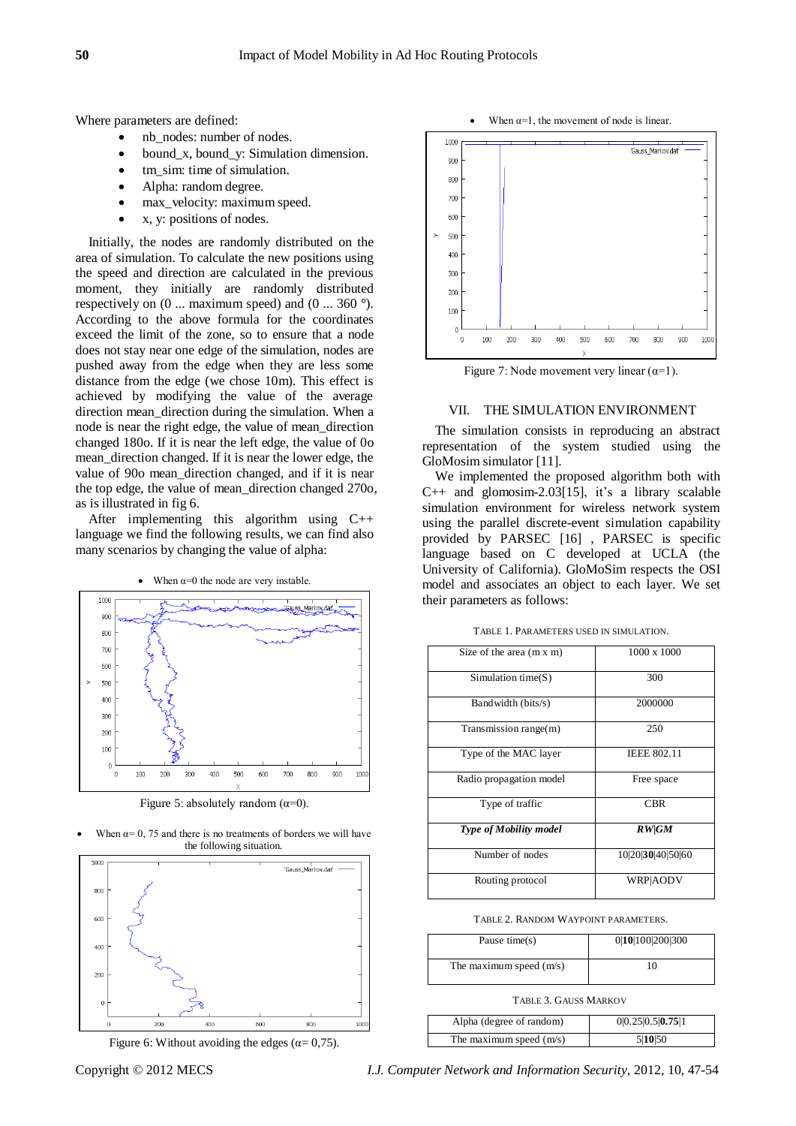Where parameters are defined:

- nb\_nodes: number of nodes.
- bound\_x, bound\_y: Simulation dimension.
- tm sim: time of simulation.
- Alpha: random degree.
- max\_velocity: maximum speed.
- x, y: positions of nodes.

Initially, the nodes are randomly distributed on the area of simulation. To calculate the new positions using the speed and direction are calculated in the previous moment, they initially are randomly distributed respectively on (0 ... maximum speed) and (0 ... 360 °). According to the above formula for the coordinates exceed the limit of the zone, so to ensure that a node does not stay near one edge of the simulation, nodes are pushed away from the edge when they are less some distance from the edge (we chose 10m). This effect is achieved by modifying the value of the average direction mean\_direction during the simulation. When a node is near the right edge, the value of mean\_direction changed 180o. If it is near the left edge, the value of 0o mean\_direction changed. If it is near the lower edge, the value of 90o mean\_direction changed, and if it is near the top edge, the value of mean\_direction changed 270o, as is illustrated in fig 6.

After implementing this algorithm using C++ language we find the following results, we can find also many scenarios by changing the value of alpha:

When  $\alpha=0$  the node are very instable.



Figure 5: absolutely random  $(\alpha=0)$ .

When  $\alpha$ = 0, 75 and there is no treatments of borders we will have the following situation.





1000 .<br>Gauss Markov.dat 900 800 700 600 500  $40($  $30($  $200$  $10($  $\Omega$ 100 200 300 400 500 600 700 800 900 1000

When  $\alpha=1$ , the movement of node is linear.

Figure 7: Node movement very linear  $(\alpha=1)$ .

#### VII. THE SIMULATION ENVIRONMENT

The simulation consists in reproducing an abstract representation of the system studied using the GloMosim simulator [11].

We implemented the proposed algorithm both with C++ and glomosim-2.03[15], it's a library scalable simulation environment for wireless network system using the parallel discrete-event simulation capability provided by PARSEC [16] , PARSEC is specific language based on C developed at UCLA (the University of California). GloMoSim respects the OSI model and associates an object to each layer. We set their parameters as follows:

TABLE 1. PARAMETERS USED IN SIMULATION.

| Size of the area $(m x m)$    | $1000 \times 1000$ |
|-------------------------------|--------------------|
| Simulation time $(S)$         | 300                |
| Bandwidth (bits/s)            | 2000000            |
| Transmission range(m)         | 250                |
| Type of the MAC layer         | <b>IEEE 802.11</b> |
| Radio propagation model       | Free space         |
| Type of traffic               | <b>CBR</b>         |
| <b>Type of Mobility model</b> | <b>RW/GM</b>       |
| Number of nodes               | 10 20 30 40 50 60  |
| Routing protocol              | <b>WRP</b> AODV    |

TABLE 2. RANDOM WAYPOINT PARAMETERS.

| Pause time(s)             | 0 10 100 200 300 |
|---------------------------|------------------|
| The maximum speed $(m/s)$ |                  |

#### TABLE 3. GAUSS MARKOV

| Alpha (degree of random)  | 0 0.25 0.5 0.75 1 |
|---------------------------|-------------------|
| The maximum speed $(m/s)$ | 5 10 50           |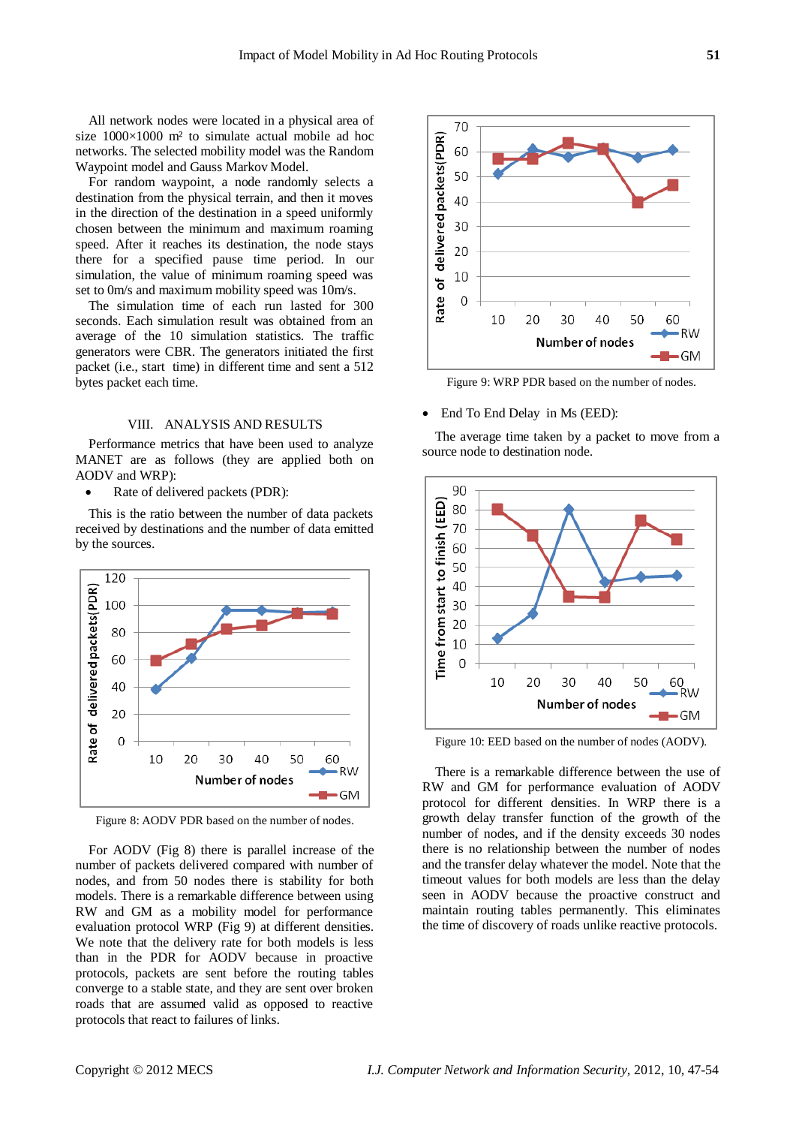All network nodes were located in a physical area of size  $1000 \times 1000$  m<sup>2</sup> to simulate actual mobile ad hoc networks. The selected mobility model was the Random Waypoint model and Gauss Markov Model.

For random waypoint, a node randomly selects a destination from the physical terrain, and then it moves in the direction of the destination in a speed uniformly chosen between the minimum and maximum roaming speed. After it reaches its destination, the node stays there for a specified pause time period. In our simulation, the value of minimum roaming speed was set to 0m/s and maximum mobility speed was 10m/s.

The simulation time of each run lasted for 300 seconds. Each simulation result was obtained from an average of the 10 simulation statistics. The traffic generators were CBR. The generators initiated the first packet (i.e., start time) in different time and sent a 512 bytes packet each time.

#### VIII. ANALYSIS AND RESULTS

Performance metrics that have been used to analyze MANET are as follows (they are applied both on AODV and WRP):

Rate of delivered packets (PDR):

This is the ratio between the number of data packets received by destinations and the number of data emitted by the sources.



Figure 8: AODV PDR based on the number of nodes.

For AODV (Fig 8) there is parallel increase of the number of packets delivered compared with number of nodes, and from 50 nodes there is stability for both models. There is a remarkable difference between using RW and GM as a mobility model for performance evaluation protocol WRP (Fig 9) at different densities. We note that the delivery rate for both models is less than in the PDR for AODV because in proactive protocols, packets are sent before the routing tables converge to a stable state, and they are sent over broken roads that are assumed valid as opposed to reactive protocols that react to failures of links.



Figure 9: WRP PDR based on the number of nodes.

End To End Delay in Ms (EED):

The average time taken by a packet to move from a source node to destination node.



Figure 10: EED based on the number of nodes (AODV).

There is a remarkable difference between the use of RW and GM for performance evaluation of AODV protocol for different densities. In WRP there is a growth delay transfer function of the growth of the number of nodes, and if the density exceeds 30 nodes there is no relationship between the number of nodes and the transfer delay whatever the model. Note that the timeout values for both models are less than the delay seen in AODV because the proactive construct and maintain routing tables permanently. This eliminates the time of discovery of roads unlike reactive protocols.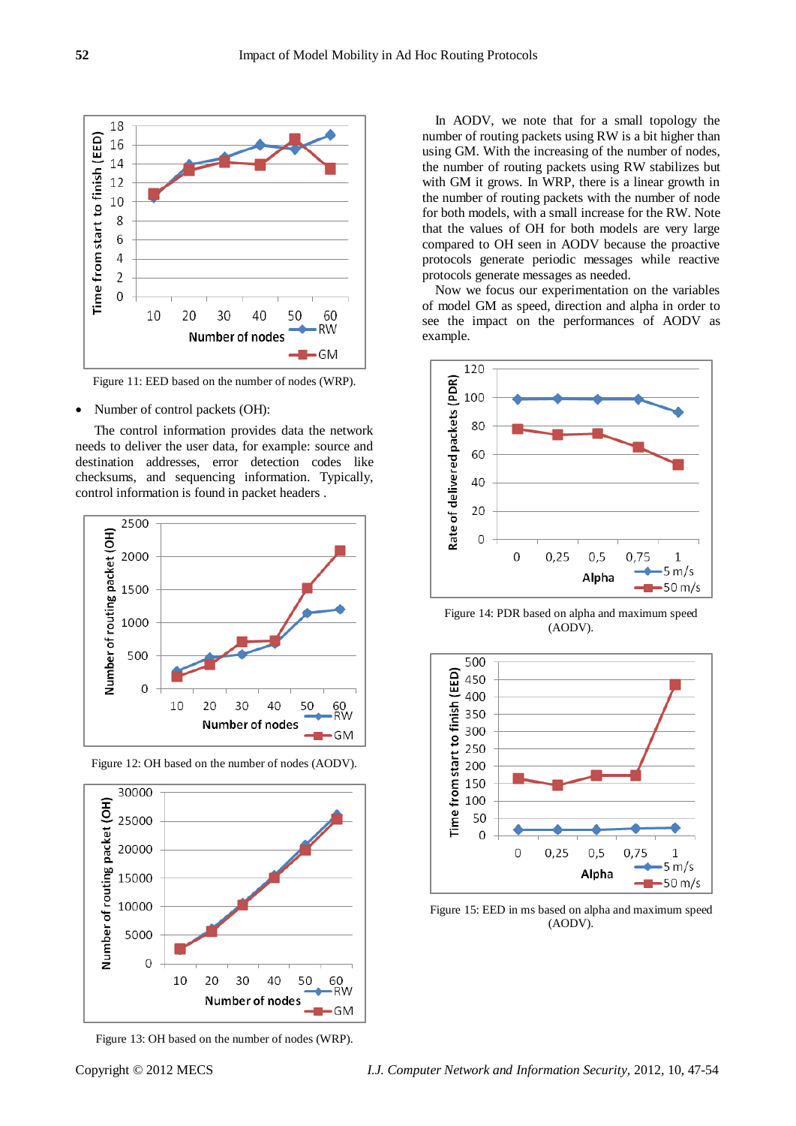

Figure 11: EED based on the number of nodes (WRP).

• Number of control packets (OH):

The control information provides data the network needs to deliver the user data, for example: source and destination addresses, error detection codes like checksums, and sequencing information. Typically, control information is found in packet [headers](http://en.wikipedia.org/wiki/Header_%28computing%29) .



Figure 12: OH based on the number of nodes (AODV).



Figure 13: OH based on the number of nodes (WRP).

In AODV, we note that for a small topology the number of routing packets using RW is a bit higher than using GM. With the increasing of the number of nodes, the number of routing packets using RW stabilizes but with GM it grows. In WRP, there is a linear growth in the number of routing packets with the number of node for both models, with a small increase for the RW. Note that the values of OH for both models are very large compared to OH seen in AODV because the proactive protocols generate periodic messages while reactive protocols generate messages as needed.

Now we focus our experimentation on the variables of model GM as speed, direction and alpha in order to see the impact on the performances of AODV as example.



Figure 14: PDR based on alpha and maximum speed (AODV).



Figure 15: EED in ms based on alpha and maximum speed (AODV).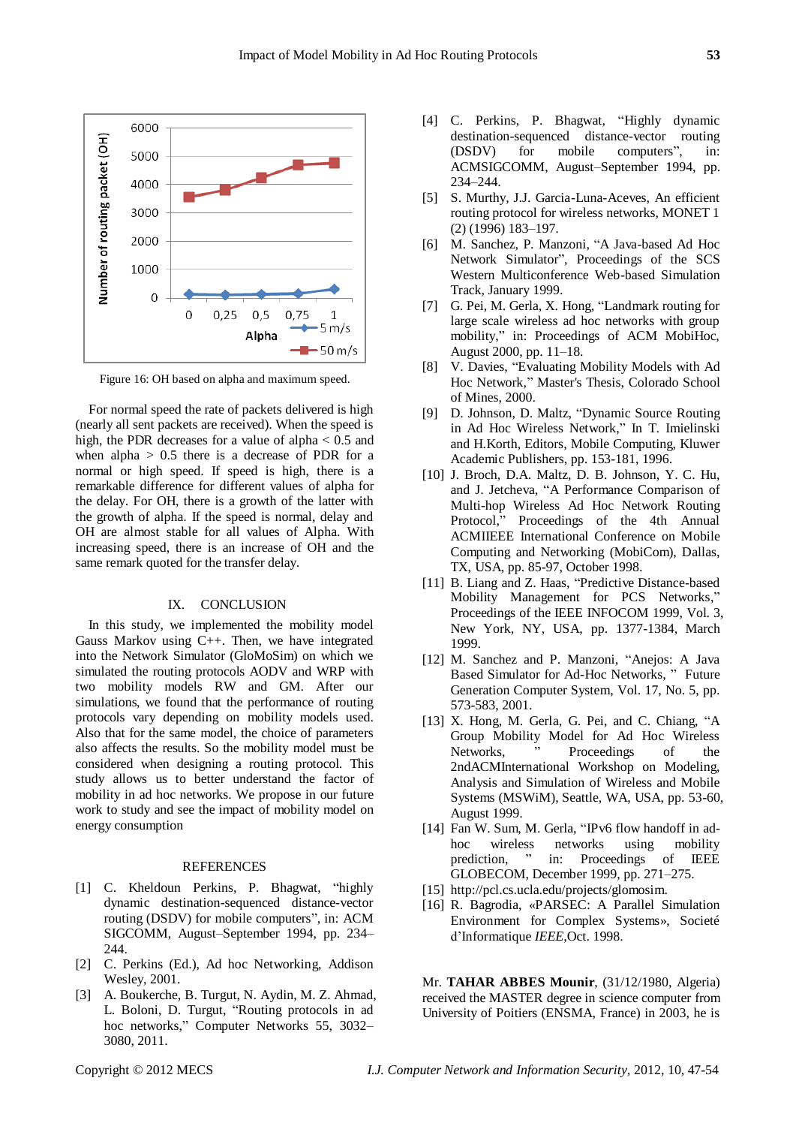

Figure 16: OH based on alpha and maximum speed.

For normal speed the rate of packets delivered is high (nearly all sent packets are received). When the speed is high, the PDR decreases for a value of alpha  $< 0.5$  and when alpha  $> 0.5$  there is a decrease of PDR for a normal or high speed. If speed is high, there is a remarkable difference for different values of alpha for the delay. For OH, there is a growth of the latter with the growth of alpha. If the speed is normal, delay and OH are almost stable for all values of Alpha. With increasing speed, there is an increase of OH and the same remark quoted for the transfer delay.

#### IX. CONCLUSION

In this study, we implemented the mobility model Gauss Markov using C++. Then, we have integrated into the Network Simulator (GloMoSim) on which we simulated the routing protocols AODV and WRP with two mobility models RW and GM. After our simulations, we found that the performance of routing protocols vary depending on mobility models used. Also that for the same model, the choice of parameters also affects the results. So the mobility model must be considered when designing a routing protocol. This study allows us to better understand the factor of mobility in ad hoc networks. We propose in our future work to study and see the impact of mobility model on energy consumption

#### REFERENCES

- [1] C. Kheldoun Perkins, P. Bhagwat, "highly dynamic destination-sequenced distance-vector routing (DSDV) for mobile computers", in: ACM SIGCOMM, August–September 1994, pp. 234– 244.
- [2] C. Perkins (Ed.), Ad hoc Networking, Addison Wesley, 2001.
- [3] A. Boukerche, B. Turgut, N. Aydin, M. Z. Ahmad, L. Boloni, D. Turgut, "Routing protocols in ad hoc networks," Computer Networks 55, 3032– 3080, 2011.
- [4] C. Perkins, P. Bhagwat, "Highly dynamic destination-sequenced distance-vector routing (DSDV) for mobile computers", in: ACMSIGCOMM, August–September 1994, pp. 234–244.
- [5] S. Murthy, J.J. Garcia-Luna-Aceves, An efficient routing protocol for wireless networks, MONET 1 (2) (1996) 183–197.
- [6] M. Sanchez, P. Manzoni, "A Java-based Ad Hoc Network Simulator", Proceedings of the SCS Western Multiconference Web-based Simulation Track, January 1999.
- [7] G. Pei, M. Gerla, X. Hong, "Landmark routing for large scale wireless ad hoc networks with group mobility," in: Proceedings of ACM MobiHoc, August 2000, pp. 11–18.
- [8] V. Davies, "Evaluating Mobility Models with Ad Hoc Network," Master's Thesis, Colorado School of Mines, 2000.
- [9] D. Johnson, D. Maltz, "Dynamic Source Routing in Ad Hoc Wireless Network," In T. Imielinski and H.Korth, Editors, Mobile Computing, Kluwer Academic Publishers, pp. 153-181, 1996.
- [10] J. Broch, D.A. Maltz, D. B. Johnson, Y. C. Hu, and J. Jetcheva, "A Performance Comparison of Multi-hop Wireless Ad Hoc Network Routing Protocol," Proceedings of the 4th Annual ACMIIEEE International Conference on Mobile Computing and Networking (MobiCom), Dallas, TX, USA, pp. 85-97, October 1998.
- [11] B. Liang and Z. Haas, "Predictive Distance-based Mobility Management for PCS Networks," Proceedings of the IEEE INFOCOM 1999, Vol. 3, New York, NY, USA, pp. 1377-1384, March 1999.
- [12] M. Sanchez and P. Manzoni, "Anejos: A Java Based Simulator for Ad-Hoc Networks, " Future Generation Computer System, Vol. 17, No. 5, pp. 573-583, 2001.
- [13] X. Hong, M. Gerla, G. Pei, and C. Chiang, "A Group Mobility Model for Ad Hoc Wireless Networks, "Proceedings of the 2ndACMInternational Workshop on Modeling, Analysis and Simulation of Wireless and Mobile Systems (MSWiM), Seattle, WA, USA, pp. 53-60, August 1999.
- [14] Fan W. Sum, M. Gerla, "IPv6 flow handoff in adhoc wireless networks using mobility prediction, " in: Proceedings of IEEE GLOBECOM, December 1999, pp. 271–275.
- [15] http://pcl.cs.ucla.edu/projects/glomosim.
- [16] R. Bagrodia, «PARSEC: A Parallel Simulation Environment for Complex Systems», Societé d'Informatique *IEEE*,Oct. 1998.

Mr. **TAHAR ABBES Mounir**, (31/12/1980, Algeria) received the MASTER degree in science computer from University of Poitiers (ENSMA, France) in 2003, he is